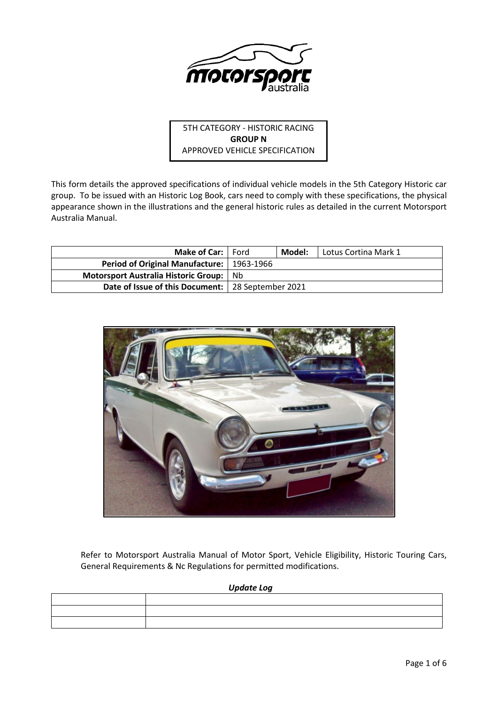

5TH CATEGORY - HISTORIC RACING **GROUP N** APPROVED VEHICLE SPECIFICATION

This form details the approved specifications of individual vehicle models in the 5th Category Historic car group. To be issued with an Historic Log Book, cars need to comply with these specifications, the physical appearance shown in the illustrations and the general historic rules as detailed in the current Motorsport Australia Manual.

| <b>Make of Car:</b>   Ford                          | Model: | Lotus Cortina Mark 1 |
|-----------------------------------------------------|--------|----------------------|
| Period of Original Manufacture:   1963-1966         |        |                      |
| Motorsport Australia Historic Group: Nb             |        |                      |
| Date of Issue of this Document:   28 September 2021 |        |                      |



Refer to Motorsport Australia Manual of Motor Sport, Vehicle Eligibility, Historic Touring Cars, General Requirements & Nc Regulations for permitted modifications.

*Update Log*

| <u>, поставляющее составляют продолжение составляют составляют продолжения составляют продолжения составляют составляют составляют составляют составляют составляют составляют составляют с</u> |
|-------------------------------------------------------------------------------------------------------------------------------------------------------------------------------------------------|
|                                                                                                                                                                                                 |
|                                                                                                                                                                                                 |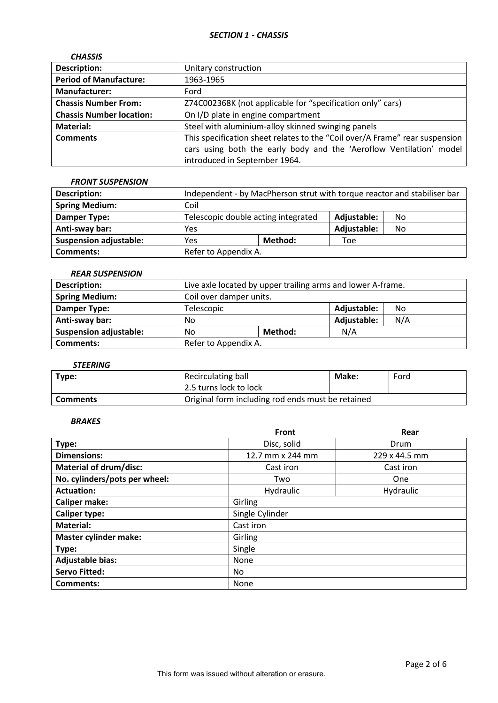| <b>CHASSIS</b>                  |                                                                             |
|---------------------------------|-----------------------------------------------------------------------------|
| <b>Description:</b>             | Unitary construction                                                        |
| <b>Period of Manufacture:</b>   | 1963-1965                                                                   |
| <b>Manufacturer:</b>            | Ford                                                                        |
| <b>Chassis Number From:</b>     | Z74C002368K (not applicable for "specification only" cars)                  |
| <b>Chassis Number location:</b> | On I/D plate in engine compartment                                          |
| Material:                       | Steel with aluminium-alloy skinned swinging panels                          |
| <b>Comments</b>                 | This specification sheet relates to the "Coil over/A Frame" rear suspension |
|                                 | cars using both the early body and the 'Aeroflow Ventilation' model         |
|                                 | introduced in September 1964.                                               |

### *FRONT SUSPENSION*

| <b>Description:</b>           | Independent - by MacPherson strut with torque reactor and stabiliser bar |                                                          |             |    |
|-------------------------------|--------------------------------------------------------------------------|----------------------------------------------------------|-------------|----|
| <b>Spring Medium:</b>         | Coil                                                                     |                                                          |             |    |
| Damper Type:                  |                                                                          | Telescopic double acting integrated<br>Adjustable:<br>No |             |    |
| Anti-sway bar:                | Yes                                                                      |                                                          | Adjustable: | No |
| <b>Suspension adjustable:</b> | Method:<br>Yes<br>Toe                                                    |                                                          |             |    |
| <b>Comments:</b>              | Refer to Appendix A.                                                     |                                                          |             |    |

### *REAR SUSPENSION*

| <b>Description:</b>           | Live axle located by upper trailing arms and lower A-frame. |                   |             |     |
|-------------------------------|-------------------------------------------------------------|-------------------|-------------|-----|
| <b>Spring Medium:</b>         | Coil over damper units.                                     |                   |             |     |
| Damper Type:                  | Telescopic                                                  | Adjustable:<br>No |             |     |
| Anti-sway bar:                | No                                                          |                   | Adjustable: | N/A |
| <b>Suspension adjustable:</b> | No                                                          | N/A<br>Method:    |             |     |
| Comments:                     | Refer to Appendix A.                                        |                   |             |     |

# *STEERING*

| Type:           | Recirculating ball                                | Make: | Ford |
|-----------------|---------------------------------------------------|-------|------|
|                 | 2.5 turns lock to lock                            |       |      |
| <b>Comments</b> | Original form including rod ends must be retained |       |      |

## *BRAKES*

|                               | <b>Front</b>     | Rear          |  |  |
|-------------------------------|------------------|---------------|--|--|
| Type:                         | Disc, solid      | Drum          |  |  |
| <b>Dimensions:</b>            | 12.7 mm x 244 mm | 229 x 44.5 mm |  |  |
| <b>Material of drum/disc:</b> | Cast iron        | Cast iron     |  |  |
| No. cylinders/pots per wheel: | Two              | One           |  |  |
| <b>Actuation:</b>             | Hydraulic        | Hydraulic     |  |  |
| <b>Caliper make:</b>          | Girling          |               |  |  |
| <b>Caliper type:</b>          | Single Cylinder  |               |  |  |
| <b>Material:</b>              | Cast iron        |               |  |  |
| <b>Master cylinder make:</b>  | Girling          |               |  |  |
| Type:                         | Single           |               |  |  |
| <b>Adjustable bias:</b>       | None             |               |  |  |
| <b>Servo Fitted:</b>          | No.              |               |  |  |
| Comments:                     | None             |               |  |  |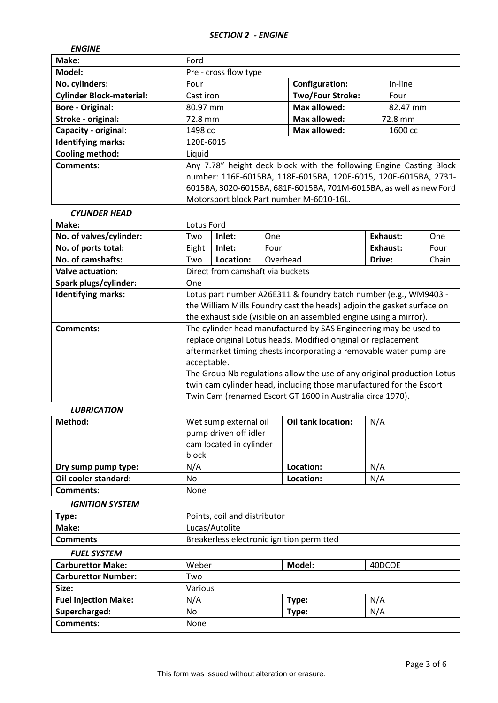| <b>ENGINE</b>                   |                                                                     |                         |          |
|---------------------------------|---------------------------------------------------------------------|-------------------------|----------|
| Make:                           | Ford                                                                |                         |          |
| Model:                          | Pre - cross flow type                                               |                         |          |
| No. cylinders:                  | Four                                                                | Configuration:          | In-line  |
| <b>Cylinder Block-material:</b> | Cast iron                                                           | <b>Two/Four Stroke:</b> | Four     |
| <b>Bore - Original:</b>         | 80.97 mm                                                            | <b>Max allowed:</b>     | 82.47 mm |
| Stroke - original:              | 72.8 mm                                                             | Max allowed:            | 72.8 mm  |
| Capacity - original:            | 1498 cc                                                             | <b>Max allowed:</b>     | 1600 cc  |
| <b>Identifying marks:</b>       | 120E-6015                                                           |                         |          |
| <b>Cooling method:</b>          | Liquid                                                              |                         |          |
| Comments:                       | Any 7.78" height deck block with the following Engine Casting Block |                         |          |
|                                 | number: 116E-6015BA, 118E-6015BA, 120E-6015, 120E-6015BA, 2731-     |                         |          |
|                                 | 6015BA, 3020-6015BA, 681F-6015BA, 701M-6015BA, as well as new Ford  |                         |          |
|                                 | Motorsport block Part number M-6010-16L.                            |                         |          |

#### *CYLINDER HEAD*

| Make:                     | Lotus Ford                                                              |           |                                                                    |          |       |
|---------------------------|-------------------------------------------------------------------------|-----------|--------------------------------------------------------------------|----------|-------|
| No. of valves/cylinder:   | Two                                                                     | Inlet:    | <b>One</b>                                                         | Exhaust: | One   |
| No. of ports total:       | Eight                                                                   | Inlet:    | Four                                                               | Exhaust: | Four  |
| No. of camshafts:         | Two                                                                     | Location: | Overhead                                                           | Drive:   | Chain |
| <b>Valve actuation:</b>   |                                                                         |           | Direct from camshaft via buckets                                   |          |       |
| Spark plugs/cylinder:     | <b>One</b>                                                              |           |                                                                    |          |       |
| <b>Identifying marks:</b> | Lotus part number A26E311 & foundry batch number (e.g., WM9403 -        |           |                                                                    |          |       |
|                           | the William Mills Foundry cast the heads) adjoin the gasket surface on  |           |                                                                    |          |       |
|                           | the exhaust side (visible on an assembled engine using a mirror).       |           |                                                                    |          |       |
| Comments:                 | The cylinder head manufactured by SAS Engineering may be used to        |           |                                                                    |          |       |
|                           | replace original Lotus heads. Modified original or replacement          |           |                                                                    |          |       |
|                           |                                                                         |           | aftermarket timing chests incorporating a removable water pump are |          |       |
|                           | acceptable.                                                             |           |                                                                    |          |       |
|                           | The Group Nb regulations allow the use of any original production Lotus |           |                                                                    |          |       |
|                           | twin cam cylinder head, including those manufactured for the Escort     |           |                                                                    |          |       |
|                           |                                                                         |           | Twin Cam (renamed Escort GT 1600 in Australia circa 1970).         |          |       |

## *LUBRICATION*

| Method:              | Wet sump external oil<br>pump driven off idler<br>cam located in cylinder<br>block | <b>Oil tank location:</b> | N/A |
|----------------------|------------------------------------------------------------------------------------|---------------------------|-----|
| Dry sump pump type:  | N/A                                                                                | Location:                 | N/A |
| Oil cooler standard: | No                                                                                 | Location:                 | N/A |
| <b>Comments:</b>     | None                                                                               |                           |     |

### *IGNITION SYSTEM*

| Type:           | Points, coil and distributor              |
|-----------------|-------------------------------------------|
| Make:           | Lucas/Autolite                            |
| <b>Comments</b> | Breakerless electronic ignition permitted |

#### *FUEL SYSTEM*

| <b>Carburettor Make:</b>    | Weber       | Model: | 40DCOE |
|-----------------------------|-------------|--------|--------|
| <b>Carburettor Number:</b>  | Two         |        |        |
| Size:                       | Various     |        |        |
| <b>Fuel injection Make:</b> | N/A         | Type:  | N/A    |
| Supercharged:               | No.         | Type:  | N/A    |
| <b>Comments:</b>            | <b>None</b> |        |        |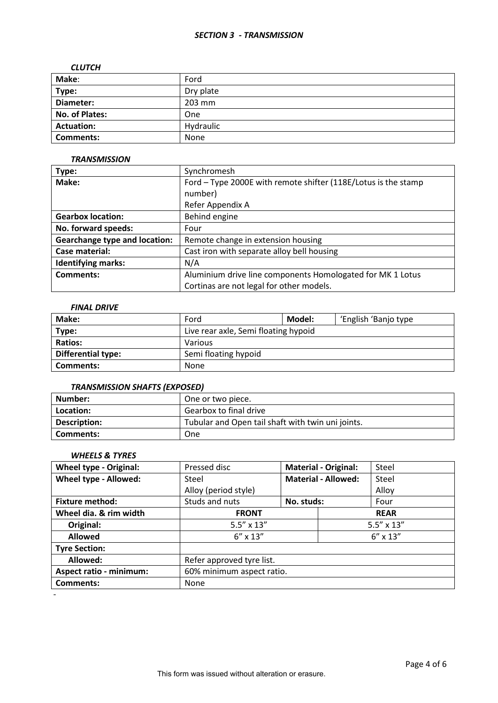### *SECTION 3 - TRANSMISSION*

#### *CLUTCH*

| Make:             | Ford      |
|-------------------|-----------|
| Type:             | Dry plate |
| Diameter:         | 203 mm    |
| No. of Plates:    | One       |
| <b>Actuation:</b> | Hydraulic |
| <b>Comments:</b>  | None      |

#### *TRANSMISSION*

| Type:                                | Synchromesh                                                    |  |  |
|--------------------------------------|----------------------------------------------------------------|--|--|
| Make:                                | Ford - Type 2000E with remote shifter (118E/Lotus is the stamp |  |  |
|                                      | number)                                                        |  |  |
|                                      | Refer Appendix A                                               |  |  |
| <b>Gearbox location:</b>             | Behind engine                                                  |  |  |
| No. forward speeds:                  | Four                                                           |  |  |
| <b>Gearchange type and location:</b> | Remote change in extension housing                             |  |  |
| Case material:                       | Cast iron with separate alloy bell housing                     |  |  |
| <b>Identifying marks:</b>            | N/A                                                            |  |  |
| Comments:                            | Aluminium drive line components Homologated for MK 1 Lotus     |  |  |
|                                      | Cortinas are not legal for other models.                       |  |  |

## *FINAL DRIVE*

| Make:                     | Ford                                 | Model: | 'English 'Banjo type |  |
|---------------------------|--------------------------------------|--------|----------------------|--|
| Type:                     | Live rear axle, Semi floating hypoid |        |                      |  |
| <b>Ratios:</b>            | Various                              |        |                      |  |
| <b>Differential type:</b> | Semi floating hypoid                 |        |                      |  |
| <b>Comments:</b>          | None                                 |        |                      |  |

### *TRANSMISSION SHAFTS (EXPOSED)*

| Number:      | One or two piece.                                 |
|--------------|---------------------------------------------------|
| Location:    | Gearbox to final drive                            |
| Description: | Tubular and Open tail shaft with twin uni joints. |
| Comments:    | One                                               |

### *WHEELS & TYRES*

| <b>Wheel type - Original:</b>  | Pressed disc              |            | <b>Material - Original:</b> | Steel               |
|--------------------------------|---------------------------|------------|-----------------------------|---------------------|
| Wheel type - Allowed:          | Steel                     |            | <b>Material - Allowed:</b>  | Steel               |
|                                | Alloy (period style)      |            |                             | Alloy               |
| <b>Fixture method:</b>         | Studs and nuts            | No. studs: |                             | Four                |
| Wheel dia. & rim width         | <b>FRONT</b>              |            | <b>REAR</b>                 |                     |
| Original:                      | $5.5'' \times 13''$       |            |                             | $5.5'' \times 13''$ |
| <b>Allowed</b>                 | $6'' \times 13''$         |            | $6'' \times 13''$           |                     |
| <b>Tyre Section:</b>           |                           |            |                             |                     |
| Allowed:                       | Refer approved tyre list. |            |                             |                     |
| <b>Aspect ratio - minimum:</b> | 60% minimum aspect ratio. |            |                             |                     |
| <b>Comments:</b>               | None                      |            |                             |                     |
|                                |                           |            |                             |                     |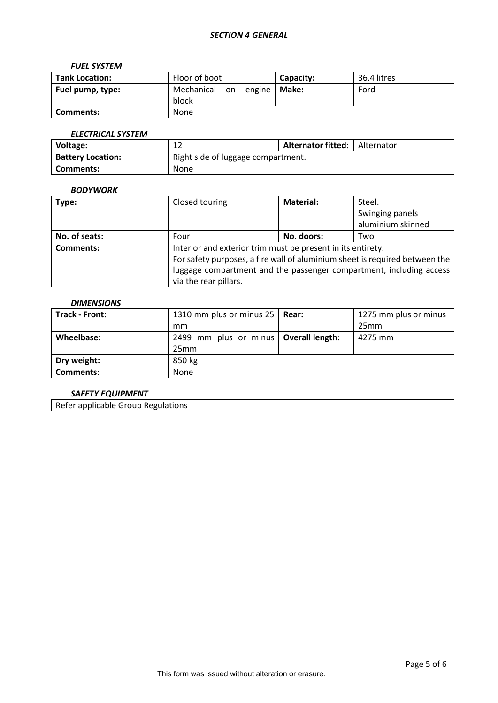### *FUEL SYSTEM*

| <b>Tank Location:</b> | Floor of boot                    | Capacity: | 36.4 litres |
|-----------------------|----------------------------------|-----------|-------------|
| Fuel pump, type:      | Mechanical<br>on engine<br>block | Make:     | Ford        |
| Comments:             | <b>None</b>                      |           |             |

# *ELECTRICAL SYSTEM*

| Voltage:                 | ∸∸                                 | Alternator fitted: | Alternator |  |
|--------------------------|------------------------------------|--------------------|------------|--|
| <b>Battery Location:</b> | Right side of luggage compartment. |                    |            |  |
| Comments:                | None                               |                    |            |  |

### *BODYWORK*

| Type:            | Closed touring                                                              | <b>Material:</b> | Steel.            |  |
|------------------|-----------------------------------------------------------------------------|------------------|-------------------|--|
|                  |                                                                             |                  | Swinging panels   |  |
|                  |                                                                             |                  | aluminium skinned |  |
| No. of seats:    | Four                                                                        | No. doors:       | Two               |  |
| <b>Comments:</b> | Interior and exterior trim must be present in its entirety.                 |                  |                   |  |
|                  | For safety purposes, a fire wall of aluminium sheet is required between the |                  |                   |  |
|                  | luggage compartment and the passenger compartment, including access         |                  |                   |  |
|                  | via the rear pillars.                                                       |                  |                   |  |

## *DIMENSIONS*

| Track - Front:   | 1310 mm plus or minus 25   Rear:        | 1275 mm plus or minus |
|------------------|-----------------------------------------|-----------------------|
|                  | mm                                      | 25mm                  |
| Wheelbase:       | 2499 mm plus or minus   Overall length: | 4275 mm               |
|                  | 25mm                                    |                       |
| Dry weight:      | 850 kg                                  |                       |
| <b>Comments:</b> | <b>None</b>                             |                       |

## *SAFETY EQUIPMENT*

Refer applicable Group Regulations